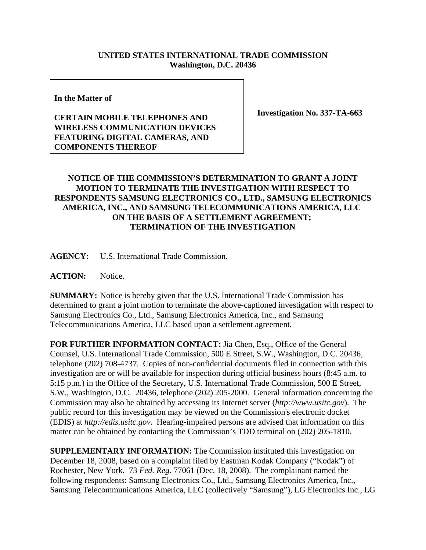## **UNITED STATES INTERNATIONAL TRADE COMMISSION Washington, D.C. 20436**

**In the Matter of**

## **CERTAIN MOBILE TELEPHONES AND WIRELESS COMMUNICATION DEVICES FEATURING DIGITAL CAMERAS, AND COMPONENTS THEREOF**

**Investigation No. 337-TA-663**

## **NOTICE OF THE COMMISSION'S DETERMINATION TO GRANT A JOINT MOTION TO TERMINATE THE INVESTIGATION WITH RESPECT TO RESPONDENTS SAMSUNG ELECTRONICS CO., LTD., SAMSUNG ELECTRONICS AMERICA, INC., AND SAMSUNG TELECOMMUNICATIONS AMERICA, LLC ON THE BASIS OF A SETTLEMENT AGREEMENT; TERMINATION OF THE INVESTIGATION**

**AGENCY:** U.S. International Trade Commission.

**ACTION:** Notice.

**SUMMARY:** Notice is hereby given that the U.S. International Trade Commission has determined to grant a joint motion to terminate the above-captioned investigation with respect to Samsung Electronics Co., Ltd., Samsung Electronics America, Inc., and Samsung Telecommunications America, LLC based upon a settlement agreement.

**FOR FURTHER INFORMATION CONTACT:** Jia Chen, Esq., Office of the General Counsel, U.S. International Trade Commission, 500 E Street, S.W., Washington, D.C. 20436, telephone (202) 708-4737. Copies of non-confidential documents filed in connection with this investigation are or will be available for inspection during official business hours (8:45 a.m. to 5:15 p.m.) in the Office of the Secretary, U.S. International Trade Commission, 500 E Street, S.W., Washington, D.C. 20436, telephone (202) 205-2000. General information concerning the Commission may also be obtained by accessing its Internet server (*http://www.usitc.gov*). The public record for this investigation may be viewed on the Commission's electronic docket (EDIS) at *http://edis.usitc.gov*. Hearing-impaired persons are advised that information on this matter can be obtained by contacting the Commission's TDD terminal on (202) 205-1810.

**SUPPLEMENTARY INFORMATION:** The Commission instituted this investigation on December 18, 2008, based on a complaint filed by Eastman Kodak Company ("Kodak") of Rochester, New York. 73 *Fed. Reg*. 77061 (Dec. 18, 2008). The complainant named the following respondents: Samsung Electronics Co., Ltd., Samsung Electronics America, Inc., Samsung Telecommunications America, LLC (collectively "Samsung"), LG Electronics Inc., LG